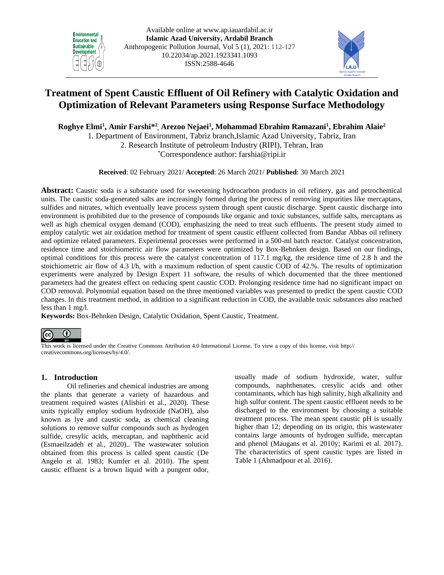



# **Treatment of Spent Caustic Effluent of Oil Refinery with Catalytic Oxidation and Optimization of Relevant Parameters using Response Surface Methodology**

**Roghye Elmi1 , Amir Farshi\*2 , Arezoo Nejaei1 , Mohammad Ebrahim Ramazani1 , Ebrahim Alaie2**

1. Department of Environment, Tabriz branch,Islamic Azad University, Tabriz, Iran 2. Research Institute of petroleum Industry (RIPI), Tehran, Iran \*

Correspondence author: [farshia@ripi.ir](mailto:farshia@ripi.ir)

**Received**: 02 February 2021/ **Accepted**: 26 March 2021/ **Published**: 30 March 2021

**Abstract:** Caustic soda is a substance used for sweetening hydrocarbon products in oil refinery, gas and petrochemical units. The caustic soda-generated salts are increasingly formed during the process of removing impurities like mercaptans, sulfides and nitrates, which eventually leave process system through spent caustic discharge. Spent caustic discharge into environment is prohibited due to the presence of compounds like organic and toxic substances, sulfide salts, mercaptans as well as high chemical oxygen demand (COD), emphasizing the need to treat such effluents. The present study aimed to employ catalytic wet air oxidation method for treatment of spent caustic effluent collected from Bandar Abbas oil refinery and optimize related parameters. Experimental processes were performed in a 500-ml batch reactor. Catalyst concentration, residence time and stoichiometric air flow parameters were optimized by Box-Behnken design. Based on our findings, optimal conditions for this process were the catalyst concentration of 117.1 mg/kg, the residence time of 2.8 h and the stoichiometric air flow of 4.3 l/h, with a maximum reduction of spent caustic COD of 42.%. The results of optimization experiments were analyzed by Design Expert 11 software, the results of which documented that the three mentioned parameters had the greatest effect on reducing spent caustic COD. Prolonging residence time had no significant impact on COD removal. Polynomial equation based on the three mentioned variables was presented to predict the spent caustic COD changes. In this treatment method, in addition to a significant reduction in COD, the available toxic substances also reached less than 1 mg/l.

**Keywords:** Box-Behnken Design, Catalytic Oxidation, Spent Caustic, Treatment.



This work is licensed under the Creative Commons Attribution 4.0 International License. To view a copy of this license, visit http:// creativecommons.org/licenses/by/4.0/.

## **1. Introduction**

Oil refineries and chemical industries are among the plants that generate a variety of hazardous and treatment required wastes (Alishiri et al., 2020). These units typically employ sodium hydroxide (NaOH), also known as lye and caustic soda, as chemical cleaning solutions to remove sulfur compounds such as hydrogen sulfide, cresylic acids, mercaptan, and naphthenic acid (Esmaeilzadeh et al., 2020).. The wastewater solution obtained from this process is called spent caustic (De Angelo et al. 1983; Kumfer et al. 2010). The spent caustic effluent is a brown liquid with a pungent odor, usually made of sodium hydroxide, water, sulfur compounds, naphthenates, cresylic acids and other contaminants, which has high salinity, high alkalinity and high sulfur content. The spent caustic effluent needs to be discharged to the environment by choosing a suitable treatment process. The mean spent caustic pH is usually higher than 12; depending on its origin, this wastewater contains large amounts of hydrogen sulfide, mercaptan and phenol (Maugans et al. 2010y; Karimi et al. 2017). The characteristics of spent caustic types are listed in Table 1 (Ahmadpour et al. 2016).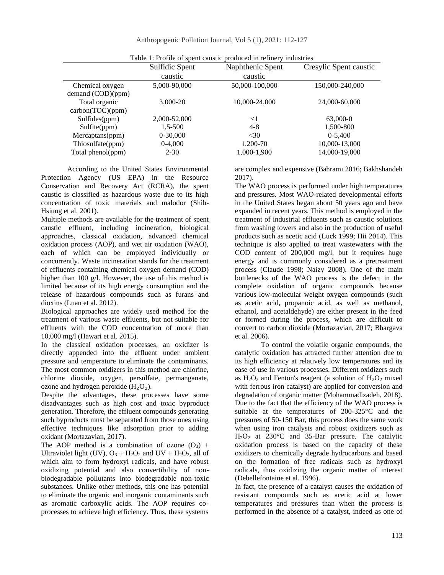|  | Anthropogenic Pollution Journal, Vol 5 (1), 2021: 112-127 |  |  |  |
|--|-----------------------------------------------------------|--|--|--|
|--|-----------------------------------------------------------|--|--|--|

|                   | Sulfidic Spent | Naphthenic Spent | Cresylic Spent caustic |
|-------------------|----------------|------------------|------------------------|
|                   | caustic        | caustic          |                        |
| Chemical oxygen   | 5,000-90,000   | 50,000-100,000   | 150,000-240,000        |
| demand (COD)(ppm) |                |                  |                        |
| Total organic     | 3.000-20       | 10,000-24,000    | 24,000-60,000          |
| carbon(TOC)(ppm)  |                |                  |                        |
| Sulfides(ppm)     | 2,000-52,000   | $\leq$ 1         | 63,000-0               |
| Sulfite(ppm)      | 1,5-500        | $4 - 8$          | 1,500-800              |
| Mercaptans(ppm)   | $0-30,000$     | <30              | $0-5,400$              |
| Thiosulfate(ppm)  | $0-4,000$      | 1,200-70         | 10,000-13,000          |
| Total phenol(ppm) | $2 - 30$       | 1,000-1,900      | 14,000-19,000          |

 $T$ . 1: 1: Profile of spent caustic produced in refinery in refinery in refinery in refinery industrial industrial industrial industrial industrial industrial industrial in  $\mathcal{L}$ 

According to the United States Environmental Protection Agency (US EPA) in the Resource Conservation and Recovery Act (RCRA), the spent caustic is classified as hazardous waste due to its high concentration of toxic materials and malodor (Shih-Hsiung et al. 2001).

Multiple methods are available for the treatment of spent caustic effluent, including incineration, biological approaches, classical oxidation, advanced chemical oxidation process (AOP), and wet air oxidation (WAO), each of which can be employed individually or concurrently. Waste incineration stands for the treatment of effluents containing chemical oxygen demand (COD) higher than 100 g/l. However, the use of this method is limited because of its high energy consumption and the release of hazardous compounds such as furans and dioxins (Luan et al. 2012).

Biological approaches are widely used method for the treatment of various waste effluents, but not suitable for effluents with the COD concentration of more than 10,000 mg/l (Hawari et al. 2015).

In the classical oxidation processes, an oxidizer is directly appended into the effluent under ambient pressure and temperature to eliminate the contaminants. The most common oxidizers in this method are chlorine, chlorine dioxide, oxygen, persulfate, permanganate, ozone and hydrogen peroxide  $(H_2O_2)$ .

Despite the advantages, these processes have some disadvantages such as high cost and toxic byproduct generation. Therefore, the effluent compounds generating such byproducts must be separated from those ones using effective techniques like adsorption prior to adding oxidant (Mortazavian, 2017).

The AOP method is a combination of ozone  $(O_3)$  + Ultraviolet light (UV),  $O_3 + H_2O_2$  and UV +  $H_2O_2$ , all of which aim to form hydroxyl radicals, and have robust oxidizing potential and also convertibility of nonbiodegradable pollutants into biodegradable non-toxic substances. Unlike other methods, this one has potential to eliminate the organic and inorganic contaminants such as aromatic carboxylic acids. The AOP requires coprocesses to achieve high efficiency. Thus, these systems

are complex and expensive (Bahrami 2016; Bakhshandeh 2017).

The WAO process is performed under high temperatures and pressures. Most WAO-related developmental efforts in the United States began about 50 years ago and have expanded in recent years. This method is employed in the treatment of industrial effluents such as caustic solutions from washing towers and also in the production of useful products such as acetic acid (Luck 1999; Hii 2014). This technique is also applied to treat wastewaters with the COD content of 200,000 mg/l, but it requires huge energy and is commonly considered as a pretreatment process (Claude 1998; Naizy 2008). One of the main bottlenecks of the WAO process is the defect in the complete oxidation of organic compounds because various low-molecular weight oxygen compounds (such as acetic acid, propanoic acid, as well as methanol, ethanol, and acetaldehyde) are either present in the feed or formed during the process, which are difficult to convert to carbon dioxide (Mortazavian, 2017; Bhargava et al. 2006).

To control the volatile organic compounds, the catalytic oxidation has attracted further attention due to its high efficiency at relatively low temperatures and its ease of use in various processes. Different oxidizers such as  $H_2O_2$  and Fenton's reagent (a solution of  $H_2O_2$  mixed with ferrous iron catalyst) are applied for conversion and degradation of organic matter (Mohammadizadeh, 2018). Due to the fact that the efficiency of the WAO process is suitable at the temperatures of 200-325°C and the pressures of 50-150 Bar, this process does the same work when using iron catalysts and robust oxidizers such as  $H_2O_2$  at 230°C and 35-Bar pressure. The catalytic oxidation process is based on the capacity of these oxidizers to chemically degrade hydrocarbons and based on the formation of free radicals such as hydroxyl radicals, thus oxidizing the organic matter of interest (Debellefontaine et al. 1996).

In fact, the presence of a catalyst causes the oxidation of resistant compounds such as acetic acid at lower temperatures and pressures than when the process is performed in the absence of a catalyst, indeed as one of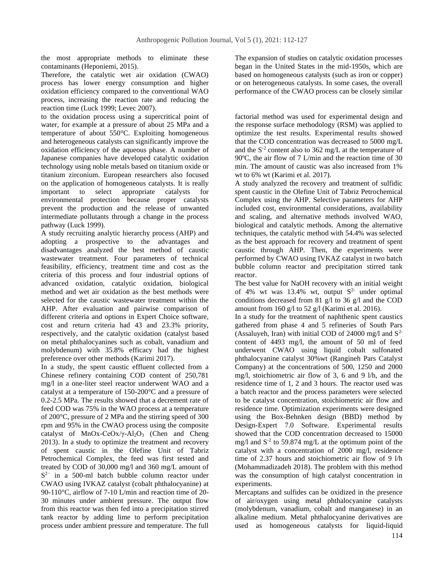the most appropriate methods to eliminate these contaminants (Heponiemi, 2015).

Therefore, the catalytic wet air oxidation (CWAO) process has lower energy consumption and higher oxidation efficiency compared to the conventional WAO process, increasing the reaction rate and reducing the reaction time (Luck 1999; Levec 2007).

to the oxidation process using a supercritical point of water, for example at a pressure of about 25 MPa and a temperature of about 550°C. Exploiting homogeneous and heterogeneous catalysts can significantly improve the oxidation efficiency of the aqueous phase. A number of Japanese companies have developed catalytic oxidation technology using noble metals based on titanium oxide or titanium zirconium. European researchers also focused on the application of homogeneous catalysts. It is really important to select appropriate catalysts for environmental protection because proper catalysts prevent the production and the release of unwanted intermediate pollutants through a change in the process pathway (Luck 1999).

A study recruiting analytic hierarchy process (AHP) and adopting a prospective to the advantages and disadvantages analyzed the best method of caustic wastewater treatment. Four parameters of technical feasibility, efficiency, treatment time and cost as the criteria of this process and four industrial options of advanced oxidation, catalytic oxidation, biological method and wet air oxidation as the best methods were selected for the caustic wastewater treatment within the AHP. After evaluation and pairwise comparison of different criteria and options in Expert Choice software, cost and return criteria had 43 and 23.3% priority, respectively, and the catalytic oxidation (catalyst based on metal phthalocyanines such as cobalt, vanadium and molybdenum) with 35.8% efficacy had the highest preference over other methods (Karimi 2017).

In a study, the spent caustic effluent collected from a Chinese refinery containing COD content of 250,781 mg/l in a one-liter steel reactor underwent WAO and a catalyst at a temperature of 150-200°C and a pressure of 0.2-2.5 MPa. The results showed that a decrement rate of feed COD was 75% in the WAO process at a temperature of 200°C, pressure of 2 MPa and the stirring speed of 300 rpm and 95% in the CWAO process using the composite catalyst of MnOx-CeOx/γ-Al2O<sup>3</sup> (Chen and Cheng 2013). In a study to optimize the treatment and recovery of spent caustic in the Olefine Unit of Tabriz Petrochemical Complex, the feed was first tested and treated by COD of 30,000 mg/l and 360 mg/L amount of S 2− in a 500-ml batch bubble column reactor under CWAO using IVKAZ catalyst (cobalt phthalocyanine) at 90-110°C, airflow of 7-10 L/min and reaction time of 20- 30 minutes under ambient pressure. The output flow from this reactor was then fed into a precipitation stirred tank reactor by adding lime to perform precipitation process under ambient pressure and temperature. The full

The expansion of studies on catalytic oxidation processes began in the United States in the mid-1950s, which are based on homogeneous catalysts (such as iron or copper) or on heterogeneous catalysts. In some cases, the overall performance of the CWAO process can be closely similar

factorial method was used for experimental design and the response surface methodology (RSM) was applied to optimize the test results. Experimental results showed that the COD concentration was decreased to 5000 mg/L and the  $S<sup>-2</sup>$  content also to 362 mg/L at the temperature of 90ºC, the air flow of 7 L/min and the reaction time of 30 min. The amount of caustic was also increased from 1% wt to 6% wt (Karimi et al. 2017).

A study analyzed the recovery and treatment of sulfidic spent caustic in the Olefine Unit of Tabriz Petrochemical Complex using the AHP. Selective parameters for AHP included cost, environmental considerations, availability and scaling, and alternative methods involved WAO, biological and catalytic methods. Among the alternative techniques, the catalytic method with 54.4% was selected as the best approach for recovery and treatment of spent caustic through AHP. Then, the experiments were performed by CWAO using IVKAZ catalyst in two batch bubble column reactor and precipitation stirred tank reactor.

The best value for NaOH recovery with an initial weight of 4% wt was 13.4% wt, output  $S<sup>2</sup>$  under optimal conditions decreased from 81 g/l to 36 g/l and the COD amount from 160 g/l to 52 g/l (Karimi et al. 2016).

In a study for the treatment of naphthenic spent caustics gathered from phase 4 and 5 refineries of South Pars (Assaluveh, Iran) with initial COD of 24000 mg/l and  $S^2$ content of 4493 mg/l, the amount of 50 ml of feed underwent CWAO using liquid cobalt sulfonated phthalocyanine catalyst 30%wt (Rangineh Pars Catalyst Company) at the concentrations of 500, 1250 and 2000 mg/l, stoichiometric air flow of 3, 6 and 9 l/h, and the residence time of 1, 2 and 3 hours. The reactor used was a batch reactor and the process parameters were selected to be catalyst concentration, stoichiometric air flow and residence time. Optimization experiments were designed using the Box-Behnken design (BBD) method by Design-Expert 7.0 Software. Experimental results showed that the COD concentration decreased to 15000 mg/l and  $S^{-2}$  to 59.874 mg/L at the optimum point of the catalyst with a concentration of 2000 mg/l, residence time of 2.37 hours and stoichiometric air flow of 9 l/h (Mohammadizadeh 2018). The problem with this method was the consumption of high catalyst concentration in experiments.

Mercaptans and sulfides can be oxidized in the presence of air/oxygen using metal phthalocyanine catalysts (molybdenum, vanadium, cobalt and manganese) in an alkaline medium. Metal phthalocyanine derivatives are used as homogeneous catalysts for liquid-liquid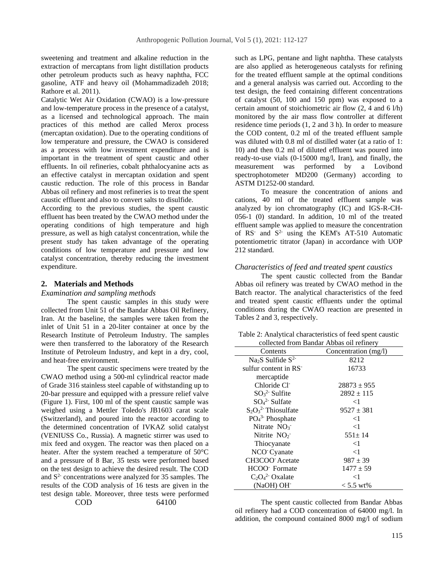sweetening and treatment and alkaline reduction in the extraction of mercaptans from light distillation products other petroleum products such as heavy naphtha, FCC gasoline, ATF and heavy oil (Mohammadizadeh 2018; Rathore et al. 2011).

Catalytic Wet Air Oxidation (CWAO) is a low-pressure and low-temperature process in the presence of a catalyst, as a licensed and technological approach. The main practices of this method are called Merox process (mercaptan oxidation). Due to the operating conditions of low temperature and pressure, the CWAO is considered as a process with low investment expenditure and is important in the treatment of spent caustic and other effluents. In oil refineries, cobalt phthalocyanine acts as an effective catalyst in mercaptan oxidation and spent caustic reduction. The role of this process in Bandar Abbas oil refinery and most refineries is to treat the spent caustic effluent and also to convert salts to disulfide.

According to the previous studies, the spent caustic effluent has been treated by the CWAO method under the operating conditions of high temperature and high pressure, as well as high catalyst concentration, while the present study has taken advantage of the operating conditions of low temperature and pressure and low catalyst concentration, thereby reducing the investment expenditure.

### **2. Materials and Methods**

#### *Examination and sampling methods*

The spent caustic samples in this study were collected from Unit 51 of the Bandar Abbas Oil Refinery, Iran. At the baseline, the samples were taken from the inlet of Unit 51 in a 20-liter container at once by the Research Institute of Petroleum Industry. The samples were then transferred to the laboratory of the Research Institute of Petroleum Industry, and kept in a dry, cool, and heat-free environment.

The spent caustic specimens were treated by the CWAO method using a 500-ml cylindrical reactor made of Grade 316 stainless steel capable of withstanding up to 20-bar pressure and equipped with a pressure relief valve (Figure 1). First, 100 ml of the spent caustic sample was weighed using a Mettler Toledo's JB1603 carat scale (Switzerland), and poured into the reactor according to the determined concentration of IVKAZ solid catalyst (VENIUSS Co., Russia). A magnetic stirrer was used to mix feed and oxygen. The reactor was then placed on a heater. After the system reached a temperature of 50°C and a pressure of 8 Bar, 35 tests were performed based on the test design to achieve the desired result. The COD and  $S<sup>2</sup>$  concentrations were analyzed for 35 samples. The results of the COD analysis of 16 tests are given in the test design table. Moreover, three tests were performed

such as LPG, pentane and light naphtha. These catalysts are also applied as heterogeneous catalysts for refining for the treated effluent sample at the optimal conditions and a general analysis was carried out. According to the test design, the feed containing different concentrations of catalyst (50, 100 and 150 ppm) was exposed to a certain amount of stoichiometric air flow (2, 4 and 6 l/h) monitored by the air mass flow controller at different residence time periods (1, 2 and 3 h). In order to measure the COD content, 0.2 ml of the treated effluent sample was diluted with 0.8 ml of distilled water (at a ratio of 1: 10) and then 0.2 ml of diluted effluent was poured into ready-to-use vials (0-15000 mg/l, Iran), and finally, the measurement was performed by a Lovibond spectrophotometer MD200 (Germany) according to ASTM D1252-00 standard.

To measure the concentration of anions and cations, 40 ml of the treated effluent sample was analyzed by ion chromatography (IC) and IGS-R-CH-056-1 (0) standard. In addition, 10 ml of the treated effluent sample was applied to measure the concentration of RS<sup>-</sup> and  $S^2$  using the KEM's AT-510 Automatic potentiometric titrator (Japan) in accordance with UOP 212 standard.

## *Characteristics of feed and treated spent caustics*

The spent caustic collected from the Bandar Abbas oil refinery was treated by CWAO method in the Batch reactor. The analytical characteristics of the feed and treated spent caustic effluents under the optimal conditions during the CWAO reaction are presented in Tables 2 and 3, respectively.

Table 2: Analytical characteristics of feed spent caustic m Bandar Abb

| collected from Bandar Abbas on refinery |
|-----------------------------------------|
| Concentration (mg/l)                    |
| 8212                                    |
| 16733                                   |
|                                         |
| $28873 + 955$                           |
| $2892 \pm 115$                          |
| ${<}1$                                  |
| $9527 \pm 381$                          |
| $<$ 1                                   |
| $\leq$ 1                                |
| $551 \pm 14$                            |
| ${<}1$                                  |
| $\leq$ 1                                |
| $987 \pm 39$                            |
| $1477 \pm 59$                           |
| $<$ 1                                   |
| $< 5.5$ wt%                             |
|                                         |

COD 64100 **64100** The spent caustic collected from Bandar Abbas oil refinery had a COD concentration of 64000 mg/l. In addition, the compound contained 8000 mg/l of sodium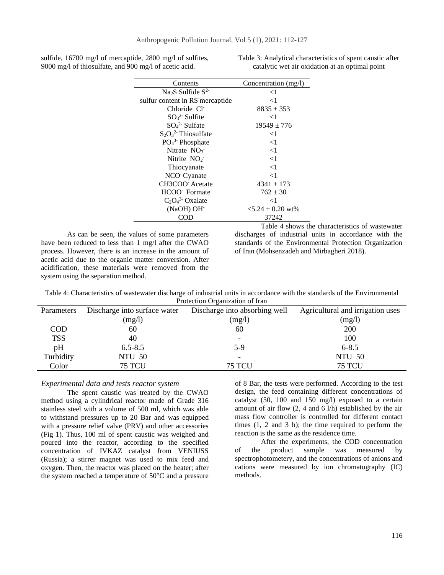sulfide, 16700 mg/l of mercaptide, 2800 mg/l of sulfites, 9000 mg/l of thiosulfate, and 900 mg/l of acetic acid.

Table 3: Analytical characteristics of spent caustic after catalytic wet air oxidation at an optimal point

| Contents                        | Concentration (mg/l) |
|---------------------------------|----------------------|
| Na <sub>2</sub> S Sulfide $S^2$ | ${<}1$               |
| sulfur content in RS mercaptide | ${<}1$               |
| Chloride Cl <sup>-</sup>        | $8835 \pm 353$       |
| $SO_3^2$ - Sulfite              | ${<}1$               |
| $SO_4^2$ - Sulfate              | $19549 \pm 776$      |
| $S_2O_3^2$ Thiosulfate          | ${<}1$               |
| $PO43$ - Phosphate              | $\leq$ 1             |
| Nitrate $NO3$                   | $\leq$ 1             |
| Nitrite $NO2$                   | $\leq$ 1             |
| Thiocyanate                     | $\leq$ 1             |
| NCO <sup>-</sup> Cyanate        | $\leq$ 1             |
| CH3COO Acetate                  | $4341 \pm 173$       |
| HCOO Formate                    | $762 \pm 30$         |
| $C_2O_4^2$ Oxalate              | ${<}1$               |
| (NaOH) OH <sup>-</sup>          | $5.24 \pm 0.20$ wt%  |
|                                 | 37242                |

As can be seen, the values of some parameters have been reduced to less than 1 mg/l after the CWAO process. However, there is an increase in the amount of acetic acid due to the organic matter conversion. After acidification, these materials were removed from the system using the separation method.

Table 4 shows the characteristics of wastewater discharges of industrial units in accordance with the standards of the Environmental Protection Organization of Iran (Mohsenzadeh and Mirbagheri 2018).

Table 4: Characteristics of wastewater discharge of industrial units in accordance with the standards of the Environmental Protection Organization of Iran

| Parameters | Discharge into surface water | Discharge into absorbing well | Agricultural and irrigation uses |
|------------|------------------------------|-------------------------------|----------------------------------|
|            | (mg/l)                       | (mg/l)                        | (mg/l)                           |
| <b>COD</b> | 60                           | 60                            | 200                              |
| <b>TSS</b> | 40                           |                               | 100                              |
| pH         | $6.5 - 8.5$                  | $5-9$                         | $6 - 8.5$                        |
| Turbidity  | NTU 50                       |                               | <b>NTU 50</b>                    |
| Color      | 75 TCU                       | <b>75 TCU</b>                 | <b>75 TCU</b>                    |

## *Experimental data and tests reactor system*

The spent caustic was treated by the CWAO method using a cylindrical reactor made of Grade 316 stainless steel with a volume of 500 ml, which was able to withstand pressures up to 20 Bar and was equipped with a pressure relief valve (PRV) and other accessories (Fig 1). Thus, 100 ml of spent caustic was weighed and poured into the reactor, according to the specified concentration of IVKAZ catalyst from VENIUSS (Russia); a stirrer magnet was used to mix feed and oxygen. Then, the reactor was placed on the heater; after the system reached a temperature of 50°C and a pressure of 8 Bar, the tests were performed. According to the test design, the feed containing different concentrations of catalyst (50, 100 and 150 mg/l) exposed to a certain amount of air flow (2, 4 and 6 l/h) established by the air mass flow controller is controlled for different contact times (1, 2 and 3 h); the time required to perform the reaction is the same as the residence time.

After the experiments, the COD concentration of the product sample was measured by spectrophotometery, and the concentrations of anions and cations were measured by ion chromatography (IC) methods.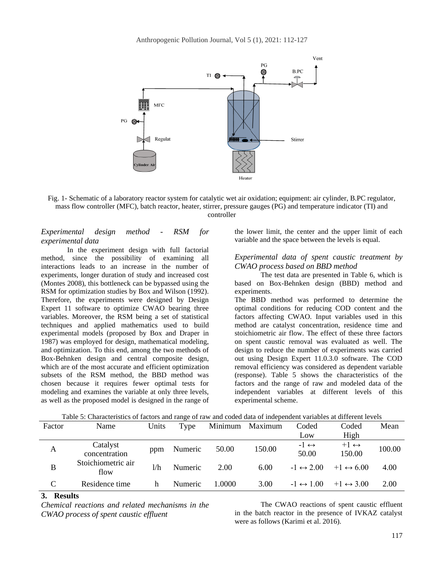

Fig. 1- Schematic of a laboratory reactor system for catalytic wet air oxidation; equipment: air cylinder, B.PC regulator, mass flow controller (MFC), batch reactor, heater, stirrer, pressure gauges (PG) and temperature indicator (TI) and controller

## *Experimental design method - RSM for experimental data*

In the experiment design with full factorial method, since the possibility of examining all interactions leads to an increase in the number of experiments, longer duration of study and increased cost (Montes 2008), this bottleneck can be bypassed using the RSM for optimization studies by Box and Wilson (1992). Therefore, the experiments were designed by Design Expert 11 software to optimize CWAO bearing three variables. Moreover, the RSM being a set of statistical techniques and applied mathematics used to build experimental models (proposed by Box and Draper in 1987) was employed for design, mathematical modeling, and optimization. To this end, among the two methods of Box-Behnken design and central composite design, which are of the most accurate and efficient optimization subsets of the RSM method, the BBD method was chosen because it requires fewer optimal tests for modeling and examines the variable at only three levels, as well as the proposed model is designed in the range of

the lower limit, the center and the upper limit of each variable and the space between the levels is equal.

## *Experimental data of spent caustic treatment by CWAO process based on BBD method*

The test data are presented in Table 6, which is based on Box-Behnken design (BBD) method and experiments.

The BBD method was performed to determine the optimal conditions for reducing COD content and the factors affecting CWAO. Input variables used in this method are catalyst concentration, residence time and stoichiometric air flow. The effect of these three factors on spent caustic removal was evaluated as well. The design to reduce the number of experiments was carried out using Design Expert 11.0.3.0 software. The COD removal efficiency was considered as dependent variable (response). Table 5 shows the characteristics of the factors and the range of raw and modeled data of the independent variables at different levels of this experimental scheme.

| Factor | Name                       | Units | Type    |        | Minimum Maximum | Coded                         | Coded                          | Mean   |
|--------|----------------------------|-------|---------|--------|-----------------|-------------------------------|--------------------------------|--------|
|        |                            |       |         |        |                 | Low                           | High                           |        |
| A      | Catalyst<br>concentration  | ppm   | Numeric | 50.00  | 150.00          | $-1 \leftrightarrow$<br>50.00 | $+1 \leftrightarrow$<br>150.00 | 100.00 |
| B      | Stoichiometric air<br>flow | l/h   | Numeric | 2.00   | 6.00            | $-1 \leftrightarrow 2.00$     | $+1 \leftrightarrow 6.00$      | 4.00   |
|        | Residence time             | h     | Numeric | 1.0000 | 3.00            | $-1 \leftrightarrow 1.00$     | $+1 \leftrightarrow 3.00$      | 2.00   |

Table 5: Characteristics of factors and range of raw and coded data of independent variables at different levels

## **3. Results**

*Chemical reactions and related mechanisms in the CWAO process of spent caustic effluent*

The CWAO reactions of spent caustic effluent in the batch reactor in the presence of IVKAZ catalyst were as follows (Karimi et al. 2016).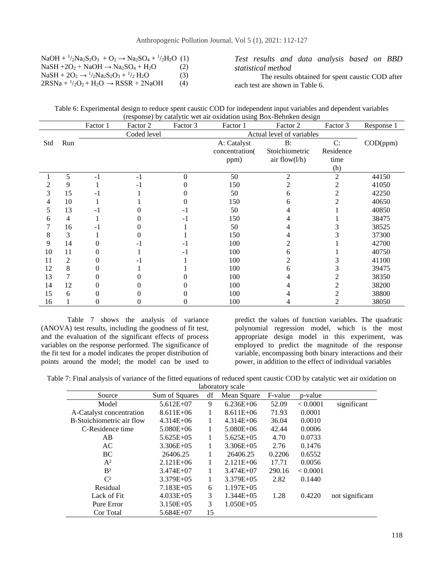| $NaOH + \frac{1}{2}Na_2S_2O_3 + O_2 \rightarrow Na_2SO_4 + \frac{1}{2}H_2O$ (1) |     |
|---------------------------------------------------------------------------------|-----|
| $NaSH + 2O_2 + NaOH \rightarrow Na_2SO_4 + H_2O$                                | (2) |
| $NaSH + 2O_2 \rightarrow \frac{1}{2}Na_2S_2O_3 + \frac{1}{2}H_2O$               | (3) |
| $2RSNa + \frac{1}{2}O_2 + H_2O \rightarrow RSSR + 2NaOH$                        | (4) |

*Test results and data analysis based on BBD statistical method*

The results obtained for spent caustic COD after each test are shown in Table 6.

| Table 6: Experimental design to reduce spent caustic COD for independent input variables and dependent variables |  |
|------------------------------------------------------------------------------------------------------------------|--|
| (response) by catalytic wet air oxidation using Box-Behnken design                                               |  |

|     |                | Factor 1                                 | Factor 2 | Factor 3 | Factor 1       | Factor 2         | Factor 3       | Response 1 |
|-----|----------------|------------------------------------------|----------|----------|----------------|------------------|----------------|------------|
|     |                | Coded level<br>Actual level of variables |          |          |                |                  |                |            |
| Std | Run            |                                          |          |          | A: Catalyst    | B:               | C:             | COD(ppm)   |
|     |                |                                          |          |          | concentration( | Stoichiometric   | Residence      |            |
|     |                |                                          |          |          | ppm)           | air flow $(l/h)$ | time           |            |
|     |                |                                          |          |          |                |                  | (h)            |            |
|     | 5              | $-1$                                     | $-1$     | $\theta$ | 50             | $\overline{2}$   | $\overline{2}$ | 44150      |
|     | 9              |                                          | - 1      |          | 150            |                  | 2              | 41050      |
| 3   | 15             | $-1$                                     |          |          | 50             | 6                | 2              | 42250      |
|     | 10             |                                          |          |          | 150            | n                | 2              | 40650      |
| 5   | 13             | $-1$                                     |          |          | 50             |                  |                | 40850      |
| 6   | 4              |                                          |          |          | 150            |                  |                | 38475      |
|     | 16             | $-1$                                     |          |          | 50             |                  |                | 38525      |
| 8   | 3              |                                          |          |          | 150            |                  |                | 37300      |
| 9   | 14             |                                          |          |          | 100            |                  |                | 42700      |
| 10  | 11             |                                          |          |          | 100            | h                |                | 40750      |
| 11  | $\overline{2}$ |                                          |          |          | 100            |                  |                | 41100      |
| 12  | 8              |                                          |          |          | 100            | 6                |                | 39475      |
| 13  | 7              |                                          |          |          | 100            |                  |                | 38350      |
| 14  | 12             |                                          |          |          | 100            |                  |                | 38200      |
| 15  | 6              |                                          |          |          | 100            |                  |                | 38800      |
| 16  |                |                                          |          |          | 100            |                  |                | 38050      |

Table 7 shows the analysis of variance (ANOVA) test results, including the goodness of fit test, and the evaluation of the significant effects of process variables on the response performed. The significance of the fit test for a model indicates the proper distribution of points around the model; the model can be used to

predict the values of function variables. The quadratic polynomial regression model, which is the most appropriate design model in this experiment, was employed to predict the magnitude of the response variable, encompassing both binary interactions and their power, in addition to the effect of individual variables

Table 7: Final analysis of variance of the fitted equations of reduced spent caustic COD by catalytic wet air oxidation on laboratory scale

|                           |                | <b>REPORTATION</b> | scaic         |         |          |                 |
|---------------------------|----------------|--------------------|---------------|---------|----------|-----------------|
| Source                    | Sum of Squares | df                 | Mean Square   | F-value | p-value  |                 |
| Model                     | $5.612E + 07$  | 9                  | $6.236E + 06$ | 52.09   | < 0.0001 | significant     |
| A-Catalyst concentration  | $8.611E + 06$  | 1                  | $8.611E + 06$ | 71.93   | 0.0001   |                 |
| B-Stoichiometric air flow | $4.314E + 06$  | 1                  | $4.314E + 06$ | 36.04   | 0.0010   |                 |
| C-Residence time          | $5.080E + 06$  | 1                  | $5.080E + 06$ | 42.44   | 0.0006   |                 |
| AB                        | $5.625E + 05$  |                    | $5.625E + 05$ | 4.70    | 0.0733   |                 |
| AC                        | $3.306E + 05$  |                    | $3.306E + 05$ | 2.76    | 0.1476   |                 |
| BC                        | 26406.25       | 1                  | 26406.25      | 0.2206  | 0.6552   |                 |
| $A^2$                     | $2.121E + 06$  |                    | $2.121E + 06$ | 17.71   | 0.0056   |                 |
| B <sup>2</sup>            | $3.474E + 07$  |                    | $3.474E+07$   | 290.16  | < 0.0001 |                 |
| $C^2$                     | $3.379E + 05$  |                    | $3.379E + 05$ | 2.82    | 0.1440   |                 |
| Residual                  | $7.183E + 05$  | 6                  | $1.197E + 05$ |         |          |                 |
| Lack of Fit               | $4.033E + 05$  | 3                  | $1.344E + 05$ | 1.28    | 0.4220   | not significant |
| Pure Error                | $3.150E + 05$  | 3                  | $1.050E + 05$ |         |          |                 |
| Cor Total                 | $5.684E+07$    | 15                 |               |         |          |                 |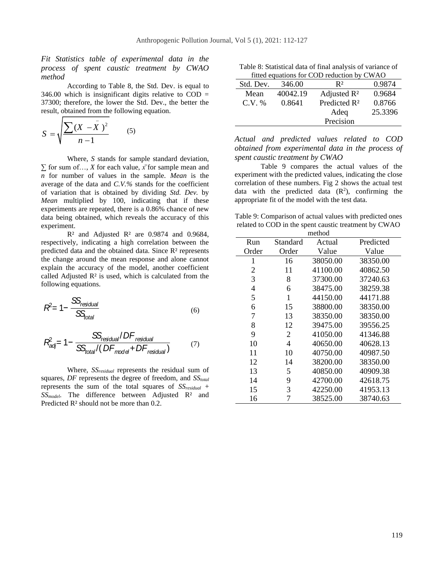*Fit Statistics table of experimental data in the process of spent caustic treatment by CWAO method*

According to Table 8, the Std. Dev. is equal to  $346.00$  which is insignificant digits relative to  $COD =$ 37300; therefore, the lower the Std. Dev., the better the result, obtained from the following equation.

$$
S = \sqrt{\frac{\sum (X - \bar{X})^2}{n - 1}} \qquad (5)
$$

Where, *S* stands for sample standard deviation,  $\sum$  for sum of..., *X* for each value, *x*<sup> $\overline{r}$ </sup> for sample mean and *n* for number of values in the sample. *Mean* is the average of the data and *C.V.%* stands for the coefficient of variation that is obtained by dividing *Std. Dev.* by *Mean* multiplied by 100, indicating that if these experiments are repeated, there is a 0.86% chance of new data being obtained, which reveals the accuracy of this experiment.

 $R<sup>2</sup>$  and Adjusted  $R<sup>2</sup>$  are 0.9874 and 0.9684, respectively, indicating a high correlation between the predicted data and the obtained data. Since R² represents the change around the mean response and alone cannot explain the accuracy of the model, another coefficient called Adjusted  $\mathbb{R}^2$  is used, which is calculated from the following equations.

$$
R^2 = 1 - \frac{SS_{residual}}{SS_{total}}
$$
 (6)

$$
R_{\text{adj}}^2 = 1 - \frac{SS_{\text{residual}}/DF_{\text{residual}}}{SS_{\text{total}}/(DF_{\text{model}} + DF_{\text{residual}})}
$$
(7)

Where, *SSresidual* represents the residual sum of squares, *DF* represents the degree of freedom, and *SStotal* represents the sum of the total squares of *SSresidual* + *SSmodel*. The difference between Adjusted R² and Predicted R² should not be more than 0.2.

Table 8: Statistical data of final analysis of variance of fitted equations for COD reduction by CWAO

|           | $\frac{1}{10000}$ counting for COD featuring by CWTTO |                          |         |  |  |  |  |
|-----------|-------------------------------------------------------|--------------------------|---------|--|--|--|--|
| Std. Dev. | 346.00                                                | R2                       | 0.9874  |  |  |  |  |
| Mean      | 40042.19                                              | Adjusted $\mathbb{R}^2$  | 0.9684  |  |  |  |  |
| $C.V. \%$ | 0.8641                                                | Predicted R <sup>2</sup> | 0.8766  |  |  |  |  |
|           |                                                       | Adeq                     | 25.3396 |  |  |  |  |
|           |                                                       | Precision                |         |  |  |  |  |
|           |                                                       |                          |         |  |  |  |  |

*Actual and predicted values related to COD obtained from experimental data in the process of spent caustic treatment by CWAO*

Table 9 compares the actual values of the experiment with the predicted values, indicating the close correlation of these numbers. Fig 2 shows the actual test data with the predicted data  $(R^2)$ , confirming the appropriate fit of the model with the test data.

Table 9: Comparison of actual values with predicted ones related to COD in the spent caustic treatment by CWAO

|                |          | method   |           |
|----------------|----------|----------|-----------|
| Run            | Standard | Actual   | Predicted |
| Order          | Order    | Value    | Value     |
| 1              | 16       | 38050.00 | 38350.00  |
| $\overline{2}$ | 11       | 41100.00 | 40862.50  |
| 3              | 8        | 37300.00 | 37240.63  |
| $\overline{4}$ | 6        | 38475.00 | 38259.38  |
| 5              | 1        | 44150.00 | 44171.88  |
| 6              | 15       | 38800.00 | 38350.00  |
| 7              | 13       | 38350.00 | 38350.00  |
| 8              | 12       | 39475.00 | 39556.25  |
| 9              | 2        | 41050.00 | 41346.88  |
| 10             | 4        | 40650.00 | 40628.13  |
| 11             | 10       | 40750.00 | 40987.50  |
| 12             | 14       | 38200.00 | 38350.00  |
| 13             | 5        | 40850.00 | 40909.38  |
| 14             | 9        | 42700.00 | 42618.75  |
| 15             | 3        | 42250.00 | 41953.13  |
| 16             | 7        | 38525.00 | 38740.63  |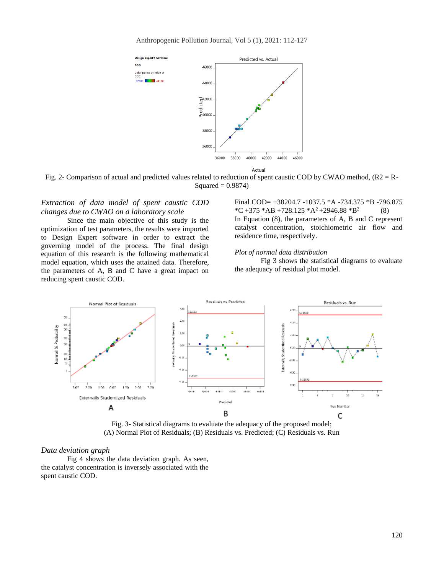

Fig. 2- Comparison of actual and predicted values related to reduction of spent caustic COD by CWAO method,  $(R2 = R -$ Squared  $= 0.9874$ )

## *Extraction of data model of spent caustic COD changes due to CWAO on a laboratory scale*

Since the main objective of this study is the optimization of test parameters, the results were imported to Design Expert software in order to extract the governing model of the process. The final design equation of this research is the following mathematical model equation, which uses the attained data. Therefore, the parameters of A, B and C have a great impact on reducing spent caustic COD.

Final COD= +38204.7 -1037.5 \*A -734.375 \*B -796.875  $*C +375 *AB +728.125 *A^2 +2946.88 *B^2$  (8) In Equation (8), the parameters of A, B and C represent

catalyst concentration, stoichiometric air flow and residence time, respectively.

## *Plot of normal data distribution*

Fig 3 shows the statistical diagrams to evaluate the adequacy of residual plot model.



Fig. 3- Statistical diagrams to evaluate the adequacy of the proposed model; (A) Normal Plot of Residuals; (B) Residuals vs. Predicted; (C) Residuals vs. Run

## *Data deviation graph*

Fig 4 shows the data deviation graph. As seen, the catalyst concentration is inversely associated with the spent caustic COD.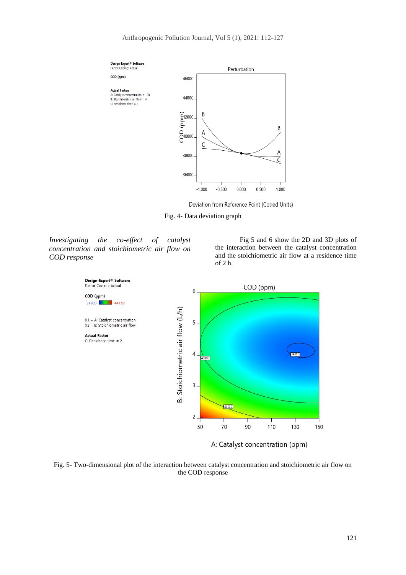

Deviation from Reference Point (Coded Units)

Fig. 4- Data deviation graph

*Investigating the co-effect of catalyst concentration and stoichiometric air flow on COD response*

Fig 5 and 6 show the 2D and 3D plots of the interaction between the catalyst concentration and the stoichiometric air flow at a residence time of 2 h.



Fig. 5- Two-dimensional plot of the interaction between catalyst concentration and stoichiometric air flow on the COD response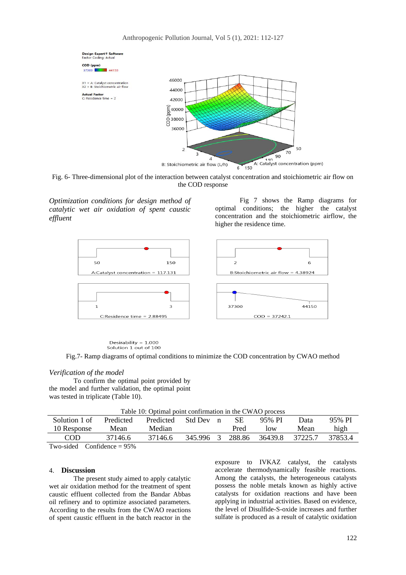



*Optimization conditions for design method of catalytic wet air oxidation of spent caustic effluent*

Fig 7 shows the Ramp diagrams for optimal conditions; the higher the catalyst concentration and the stoichiometric airflow, the higher the residence time.



Desirability = 1.000 Solution 1 out of 100

Fig.7- Ramp diagrams of optimal conditions to minimize the COD concentration by CWAO method

#### *Verification of the model*

To confirm the optimal point provided by the model and further validation, the optimal point was tested in triplicate (Table 10).

| Table 10: Optimal point confirmation in the CWAO process                                                                                                                                                                                                                                                                           |           |           |               |  |        |         |         |         |  |  |  |
|------------------------------------------------------------------------------------------------------------------------------------------------------------------------------------------------------------------------------------------------------------------------------------------------------------------------------------|-----------|-----------|---------------|--|--------|---------|---------|---------|--|--|--|
| Solution 1 of                                                                                                                                                                                                                                                                                                                      | Predicted | Predicted | - Std Dev – n |  | SЕ     | 95% PI  | Data    | 95% PI  |  |  |  |
| 10 Response                                                                                                                                                                                                                                                                                                                        | Mean      | Median    |               |  | Pred   | low     | Mean    | high    |  |  |  |
| COD                                                                                                                                                                                                                                                                                                                                | 37146.6   | 37146.6   | 345.996 3     |  | 288.86 | 36439.8 | 37225.7 | 37853.4 |  |  |  |
| $\mathbb{R}$ $\mathbb{R}$ $\mathbb{R}$ $\mathbb{R}$ $\mathbb{R}$ $\mathbb{R}$ $\mathbb{R}$ $\mathbb{R}$ $\mathbb{R}$ $\mathbb{R}$ $\mathbb{R}$ $\mathbb{R}$ $\mathbb{R}$ $\mathbb{R}$ $\mathbb{R}$ $\mathbb{R}$ $\mathbb{R}$ $\mathbb{R}$ $\mathbb{R}$ $\mathbb{R}$ $\mathbb{R}$ $\mathbb{R}$ $\mathbb{R}$ $\mathbb{R}$ $\mathbb{$ |           |           |               |  |        |         |         |         |  |  |  |

Two-sided Confidence = 95%

### 4. **Discussion**

The present study aimed to apply catalytic wet air oxidation method for the treatment of spent caustic effluent collected from the Bandar Abbas oil refinery and to optimize associated parameters. According to the results from the CWAO reactions of spent caustic effluent in the batch reactor in the

exposure to IVKAZ catalyst, the catalysts accelerate thermodynamically feasible reactions. Among the catalysts, the heterogeneous catalysts possess the noble metals known as highly active catalysts for oxidation reactions and have been applying in industrial activities. Based on evidence, the level of Disulfide-S-oxide increases and further sulfate is produced as a result of catalytic oxidation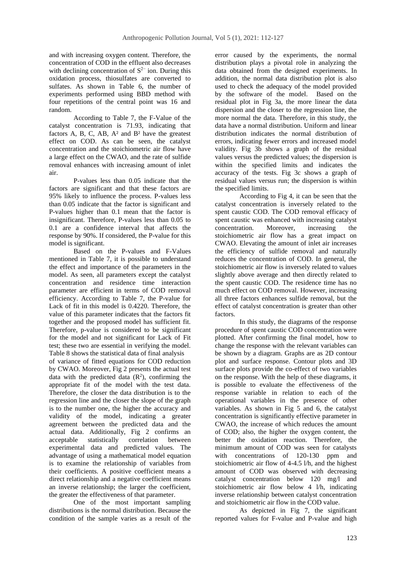and with increasing oxygen content. Therefore, the concentration of COD in the effluent also decreases with declining concentration of  $S<sup>2−</sup>$  ion. During this oxidation process, thiosulfates are converted to sulfates. As shown in Table 6, the number of experiments performed using BBD method with four repetitions of the central point was 16 and random.

According to Table 7, the F-Value of the catalyst concentration is 71.93, indicating that factors A, B, C, AB, A² and B² have the greatest effect on COD. As can be seen, the catalyst concentration and the stoichiometric air flow have a large effect on the CWAO, and the rate of sulfide removal enhances with increasing amount of inlet air.

P-values less than 0.05 indicate that the factors are significant and that these factors are 95% likely to influence the process. P-values less than 0.05 indicate that the factor is significant and P-values higher than 0.1 mean that the factor is insignificant. Therefore, P-values less than 0.05 to 0.1 are a confidence interval that affects the response by 90%. If considered, the P-value for this model is significant.

Based on the P-values and F-Values mentioned in Table 7, it is possible to understand the effect and importance of the parameters in the model. As seen, all parameters except the catalyst concentration and residence time interaction parameter are efficient in terms of COD removal efficiency. According to Table 7, the P-value for Lack of fit in this model is 0.4220. Therefore, the value of this parameter indicates that the factors fit together and the proposed model has sufficient fit. Therefore, p-value is considered to be significant for the model and not significant for Lack of Fit test; these two are essential in verifying the model. Table 8 shows the statistical data of final analysis

of variance of fitted equations for COD reduction by CWAO. Moreover, Fig 2 presents the actual test data with the predicted data  $(R^2)$ , confirming the appropriate fit of the model with the test data. Therefore, the closer the data distribution is to the regression line and the closer the slope of the graph is to the number one, the higher the accuracy and validity of the model, indicating a greater agreement between the predicted data and the actual data. Additionally, Fig 2 confirms an acceptable statistically correlation between experimental data and predicted values. The advantage of using a mathematical model equation is to examine the relationship of variables from their coefficients. A positive coefficient means a direct relationship and a negative coefficient means an inverse relationship; the larger the coefficient, the greater the effectiveness of that parameter.

One of the most important sampling distributions is the normal distribution. Because the condition of the sample varies as a result of the

error caused by the experiments, the normal distribution plays a pivotal role in analyzing the data obtained from the designed experiments. In addition, the normal data distribution plot is also used to check the adequacy of the model provided by the software of the model. Based on the residual plot in Fig 3a, the more linear the data dispersion and the closer to the regression line, the more normal the data. Therefore, in this study, the data have a normal distribution. Uniform and linear distribution indicates the normal distribution of errors, indicating fewer errors and increased model validity. Fig 3b shows a graph of the residual values versus the predicted values; the dispersion is within the specified limits and indicates the accuracy of the tests. Fig 3c shows a graph of residual values versus run; the dispersion is within the specified limits.

According to Fig 4, it can be seen that the catalyst concentration is inversely related to the spent caustic COD. The COD removal efficacy of spent caustic was enhanced with increasing catalyst concentration. Moreover, increasing the stoichiometric air flow has a great impact on CWAO. Elevating the amount of inlet air increases the efficiency of sulfide removal and naturally reduces the concentration of COD. In general, the stoichiometric air flow is inversely related to values slightly above average and then directly related to the spent caustic COD. The residence time has no much effect on COD removal. However, increasing all three factors enhances sulfide removal, but the effect of catalyst concentration is greater than other factors.

In this study, the diagrams of the response procedure of spent caustic COD concentration were plotted. After confirming the final model, how to change the response with the relevant variables can be shown by a diagram. Graphs are as 2D contour plot and surface response. Contour plots and 3D surface plots provide the co-effect of two variables on the response. With the help of these diagrams, it is possible to evaluate the effectiveness of the response variable in relation to each of the operational variables in the presence of other variables. As shown in Fig 5 and 6, the catalyst concentration is significantly effective parameter in CWAO, the increase of which reduces the amount of COD; also, the higher the oxygen content, the better the oxidation reaction. Therefore, the minimum amount of COD was seen for catalysts with concentrations of 120-130 ppm and stoichiometric air flow of 4-4.5 l/h, and the highest amount of COD was observed with decreasing catalyst concentration below 120 mg/l and stoichiometric air flow below 4 l/h, indicating inverse relationship between catalyst concentration and stoichiometric air flow in the COD value.

As depicted in Fig 7, the significant reported values for F-value and P-value and high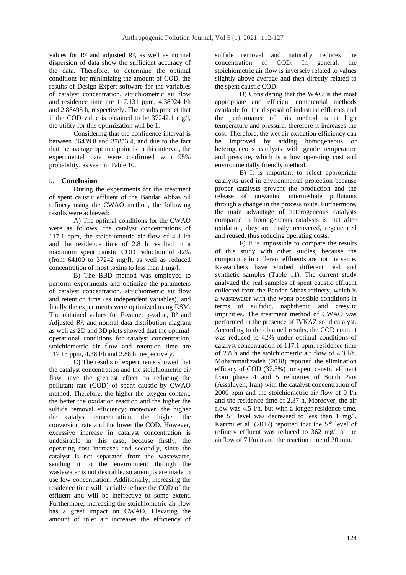values for  $\mathbb{R}^2$  and adjusted  $\mathbb{R}^2$ , as well as normal dispersion of data show the sufficient accuracy of the data. Therefore, to determine the optimal conditions for minimizing the amount of COD, the results of Design Expert software for the variables of catalyst concentration, stoichiometric air flow and residence time are 117.131 ppm, 4.38924 l/h and 2.88495 h, respectively. The results predict that if the COD value is obtained to be 37242.1 mg/l, the utility for this optimization will be 1.

Considering that the confidence interval is between 36439.8 and 37853.4, and due to the fact that the average optimal point is in this interval, the experimental data were confirmed with 95% probability, as seen in Table 10.

## 5. **Conclusion**

During the experiments for the treatment of spent caustic effluent of the Bandar Abbas oil refinery using the CWAO method, the following results were achieved:

A) The optimal conditions for the CWAO were as follows; the catalyst concentrations of 117.1 ppm, the stoichiometric air flow of 4.3 l/h and the residence time of 2.8 h resulted in a maximum spent caustic COD reduction of 42% (from  $64100$  to  $37242$  mg/l), as well as reduced concentration of most toxins to less than 1 mg/l.

B) The BBD method was employed to perform experiments and optimize the parameters of catalyst concentration, stoichiometric air flow and retention time (as independent variables), and finally the experiments were optimized using RSM. The obtained values for F-value, p-value, R<sup>2</sup> and Adjusted R², and normal data distribution diagram as well as 2D and 3D plots showed that the optimal operational conditions for catalyst concentration, stoichiometric air flow and retention time are 117.13 ppm, 4.38 l/h and 2.88 h, respectively.

C) The results of experiments showed that the catalyst concentration and the stoichiometric air flow have the greatest effect on reducing the pollutant rate (COD) of spent caustic by CWAO method. Therefore, the higher the oxygen content, the better the oxidation reaction and the higher the sulfide removal efficiency; moreover, the higher the catalyst concentration, the higher the conversion rate and the lower the COD. However, excessive increase in catalyst concentration is undesirable in this case, because firstly, the operating cost increases and secondly, since the catalyst is not separated from the wastewater, sending it to the environment through the wastewater is not desirable, so attempts are made to use low concentration. Additionally, increasing the residence time will partially reduce the COD of the effluent and will be ineffective to some extent. Furthermore, increasing the stoichiometric air flow has a great impact on CWAO. Elevating the amount of inlet air increases the efficiency of sulfide removal and naturally reduces the concentration of COD. In general, the stoichiometric air flow is inversely related to values slightly above average and then directly related to the spent caustic COD.

D) Considering that the WAO is the most appropriate and efficient commercial methods available for the disposal of industrial effluents and the performance of this method is at high temperature and pressure, therefore it increases the cost. Therefore, the wet air oxidation efficiency can be improved by adding homogeneous or heterogeneous catalysts with gentle temperature and pressure, which is a low operating cost and environmentally friendly method.

E) It is important to select appropriate catalysts used in environmental protection because proper catalysts prevent the production and the release of unwanted intermediate pollutants through a change in the process route. Furthermore, the main advantage of heterogeneous catalysts compared to homogeneous catalysts is that after oxidation, they are easily recovered, regenerated and reused, thus reducing operating costs.

F) It is impossible to compare the results of this study with other studies, because the compounds in different effluents are not the same. Researchers have studied different real and synthetic samples (Table 11). The current study analyzed the real samples of spent caustic effluent collected from the Bandar Abbas refinery, which is a wastewater with the worst possible conditions in terms of sulfidic, naphthenic and cresylic impurities. The treatment method of CWAO was performed in the presence of IVKAZ solid catalyst. According to the obtained results, the COD content was reduced to 42% under optimal conditions of catalyst concentration of 117.1 ppm, residence time of 2.8 h and the stoichiometric air flow of 4.3 l/h. Mohammadizadeh (2018) reported the elimination efficacy of COD (37.5%) for spent caustic effluent from phase 4 and 5 refineries of South Pars (Assaluyeh, Iran) with the catalyst concentration of 2000 ppm and the stoichiometric air flow of 9 l/h and the residence time of 2.37 h. Moreover, the air flow was 4.5 l/h, but with a longer residence time, the  $S<sup>2</sup>$  level was decreased to less than 1 mg/l. Karimi et al. (2017) reported that the  $S<sup>2</sup>$  level of refinery effluent was reduced to 362 mg/l at the airflow of 7 l/min and the reaction time of 30 min.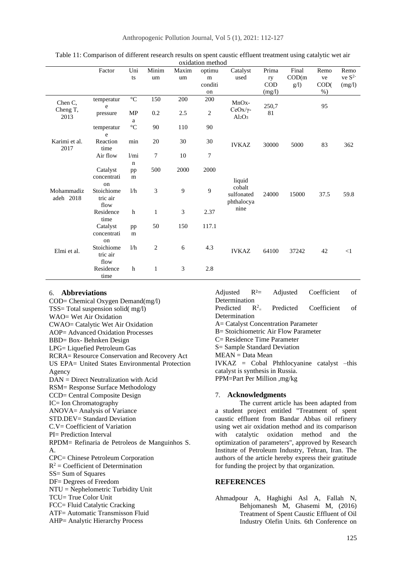|                                                      | Factor                                              | Uni               | Minim          | Maxim  | optimu       | Catalyst                                             | Prima       | Final  | Remo             | Remo     |
|------------------------------------------------------|-----------------------------------------------------|-------------------|----------------|--------|--------------|------------------------------------------------------|-------------|--------|------------------|----------|
|                                                      |                                                     | ts                | um             | um     | m            | used                                                 | ry          | COD(m) | ve               | ve $S^2$ |
|                                                      |                                                     |                   |                |        | conditi      |                                                      | COD         | g(1)   | COD <sub>(</sub> | (mg/l)   |
|                                                      |                                                     |                   |                |        | on           |                                                      | (mg/l)      |        | $%$ )            |          |
| Chen C,<br>Cheng T,<br>2013<br>Karimi et al.<br>2017 | temperatur<br>e                                     | $^\circ \text{C}$ | 150            | 200    | 200          | $MnOx-$<br>$CeOx/\gamma$ -<br>$Al_2O_3$              | 250,7<br>81 |        | 95               |          |
|                                                      | pressure                                            | <b>MP</b><br>a    | 0.2            | 2.5    | $\mathbf{2}$ |                                                      |             |        |                  |          |
|                                                      | temperatur<br>e                                     | $^\circ \text{C}$ | 90             | 110    | 90           |                                                      |             |        |                  |          |
|                                                      | Reaction<br>time                                    | min               | 20             | $30\,$ | 30           | <b>IVKAZ</b>                                         | 30000       | 5000   | 83               | 362      |
|                                                      | Air flow                                            | 1/mi              | 7              | 10     | 7            |                                                      |             |        |                  |          |
| Mohammadiz<br>adeh 2018                              | Catalyst                                            | $\mathbf n$<br>pp | 500            | 2000   | 2000         | liquid<br>cobalt<br>sulfonated<br>phthalocya<br>nine | 24000       | 15000  | 37.5             | 59.8     |
|                                                      | concentrati<br>on<br>Stoichiome<br>tric air<br>flow | m<br>1/h          | 3              | 9      | 9            |                                                      |             |        |                  |          |
|                                                      | Residence<br>time                                   | h                 | $\mathbf{1}$   | 3      | 2.37         |                                                      |             |        |                  |          |
| Elmi et al.                                          | Catalyst<br>concentrati                             | pp<br>m           | 50             | 150    | 117.1        | <b>IVKAZ</b>                                         | 64100       | 37242  | 42               | $\leq$ 1 |
|                                                      | on<br>Stoichiome<br>tric air<br>flow                | 1/h               | $\overline{c}$ | 6      | 4.3          |                                                      |             |        |                  |          |
|                                                      | Residence<br>time                                   | h                 | $\mathbf{1}$   | 3      | 2.8          |                                                      |             |        |                  |          |

Table 11: Comparison of different research results on spent caustic effluent treatment using catalytic wet air oxidation method

## 6. **Abbreviations**

COD= Chemical Oxygen Demand(mg/l) TSS= Total suspension solid( mg/l) WAO= Wet Air Oxidation CWAO= Catalytic Wet Air Oxidation AOP= Advanced Oxidation Processes BBD= Box- Behnken Design LPG= Liquefied Petroleum Gas RCRA= Resource Conservation and Recovery Act US EPA= United States Environmental Protection Agency DAN = Direct Neutralization with Acid RSM= Response Surface Methodology CCD= Central Composite Design IC= Ion Chromatography ANOVA= Analysis of Variance STD.DEV= Standard Deviation C.V= Coefficient of Variation PI= Prediction Interval RPDM= Refinaria de Petroleos de Manguinhos S. A. CPC= Chinese Petroleum Corporation  $R^2$  = Coefficient of Determination SS= Sum of Squares DF= Degrees of Freedom NTU = Nephelometric Turbidity Unit TCU= True Color Unit FCC= Fluid Catalytic Cracking ATF= Automatic Transmisson Fluid AHP= Analytic Hierarchy Process

Adjusted R²= Adjusted Coefficient of Determination Predicted  $R^2$ Predicted Coefficient of Determination A= Catalyst Concentration Parameter B= Stoichiometric Air Flow Parameter C= Residence Time Parameter S= Sample Standard Deviation  $MEAN = Data Mean$ IVKAZ = Cobal Phthlocyanine catalyst –this catalyst is synthesis in Russia. PPM=Part Per Million ,mg/kg

#### 7. **Acknowledgments**

The current article has been adapted from a student project entitled "Treatment of spent caustic effluent from Bandar Abbas oil refinery using wet air oxidation method and its comparison with catalytic oxidation method and the optimization of parameters", approved by Research Institute of Petroleum Industry, Tehran, Iran. The authors of the article hereby express their gratitude for funding the project by that organization.

## **REFERENCES**

Ahmadpour A, Haghighi Asl A, Fallah N, Behjomanesh M, Ghasemi M, (2016) Treatment of Spent Caustic Effluent of Oil Industry Olefin Units. 6th Conference on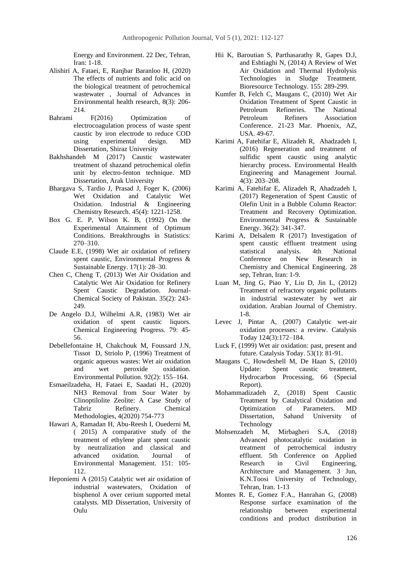Energy and Environment. 22 Dec, Tehran, Iran: 1-18.

- Alishiri A, Fataei, E, Ranjbar Baranloo H, (2020) The effects of nutrients and folic acid on the biological treatment of petrochemical wastewater , Journal of Advances in Environmental health research, 8(3): 206- 214.
- Bahrami F(2016) Optimization of electrocoagulation process of waste spent caustic by iron electrode to reduce COD using experimental design. MD Dissertation, Shiraz University
- Bakhshandeh M (2017) Caustic wastewater treatment of shazand petrochemical olefin unit by electro-fenton technique. MD Dissertation, Arak University
- Bhargava S, Tardio J, Prasad J, Foger K, (2006) Wet Oxidation and Catalytic Wet Oxidation. [Industrial & Engineering](https://pubs.acs.org/iecr)  [Chemistry Research.](https://pubs.acs.org/iecr) 45(4): 1221-1258.
- Box G. E. P, Wilson K. B, (1992) On the Experimental Attainment of Optimum Conditions. [Breakthroughs in Statistics:](https://link.springer.com/book/10.1007/978-1-4612-4380-9) 270–310.
- Claude E.E, (1998) Wet air oxidation of refinery spent caustic, Environmental Progress & Sustainable Energy. 17(1): 28–30.
- Chen C, Cheng T, (2013) Wet Air Oxidation and Catalytic Wet Air Oxidation for Refinery Spent Caustic Degradation. Journal-Chemical Society of Pakistan. 35(2): 243- 249.
- De Angelo D.J, Wilhelmi A.R, (1983) Wet air oxidation of spent caustic liquors. Chemical Engineering Progress*.* 79: 45- 56.
- Debellefontaine H, Chakchouk M, Foussard J.N, Tissot D, Striolo P, (1996) Treatment of organic aqueous wastes: Wet air oxidation and wet peroxide oxidation. Environmental Pollution. 92(2): 155–164.
- Esmaeilzadeha, H, Fataei E, Saadati H., (2020) NH3 Removal from Sour Water by Clinoptilolite Zeolite: A Case Study of Tabriz Refinery. Chemical Methodologies, 4(2020) 754-773
- Hawari A, Ramadan H, Abu-Reesh I, [Ouederni](https://www.ncbi.nlm.nih.gov/pubmed/?term=Ouederni%20M%5BAuthor%5D&cauthor=true&cauthor_uid=25546845) M, ( 2015) A comparative study of the treatment of ethylene plant spent caustic by neutralization and classical and advanced oxidation. Journal of Environmental Management. 151: 105- 112.
- Heponiemi A (2015) Catalytic wet air oxidation of industrial wastewaters, Oxidation of bisphenol A over cerium supported metal catalysts. MD Dissertation, University of Oulu
- Hii K, Baroutian S, Parthasarathy R, Gapes D.J, and Eshtiaghi N, (2014) A Review of Wet Air Oxidation and Thermal Hydrolysis Technologies in Sludge Treatment. Bioresource Technology. 155: 289-299.
- Kumfer B, Felch C, Maugans C, (2010) Wet Air Oxidation Treatment of Spent Caustic in Petroleum Refineries. The National Petroleum Refiners Association Conference. 21-23 Mar. Phoenix, AZ, USA. 49-67.
- Karimi A, Fatehifar E, Alizadeh R, Ahadzadeh I, (2016) Regeneration and treatment of sulfidic spent caustic using analytic hierarchy process. Environmental Health Engineering and Management Journal.  $4(3)$ : 203–208.
- Karimi A, Fatehifar E, Alizadeh R, Ahadzadeh I, (2017) Regeneration of Spent Caustic of Olefin Unit in a Bubble Column Reactor: Treatment and Recovery Optimization. Environmental Progress & Sustainable Energy. 36(2): 341-347.
- Karimi A, Delsalem R (2017) Investigation of spent caustic effluent treatment using statistical analysis. 4th National Conference on New Research in Chemistry and Chemical Engineering. 28 sep, Tehran, Iran: 1-9.
- Luan M, Jing G, Piao Y, Liu D, Jin L, (2012) Treatment of refractory organic pollutants in industrial wastewater by wet air oxidation. Arabian Journal of Chemistry. 1-8.
- Levec J, Pintar A, (2007) Catalytic wet-air oxidation processes: a review. Catalysis Today 124(3):172–184.
- Luck F, (1999) Wet air oxidation: past, present and future. Catalysis Today. 53(1): 81-91.
- Maugans C, Howdeshell M, De Haan S, (2010) Update: Spent caustic treatment, Hydrocarbon Processing, 66 (Special Report).
- Mohammadizadeh Z, (2018) Spent Caustic Treatment by Catalytical Oxidation and Optimization of Parameters. MD Dissertation, Sahand University of Technology
- Mohsenzadeh M, Mirbagheri S.A, (2018) Advanced photocatalytic oxidation in treatment of petrochemical industry effluent. 5th Conference on Applied Research in Civil Engineering, Architecture and Management. 3 Jun, K.N.Toosi University of Technology, Tehran, Iran. 1-13
- Montes R. E, Gomez F.A., Hanrahan G, (2008) Response surface examination of the relationship between experimental conditions and product distribution in